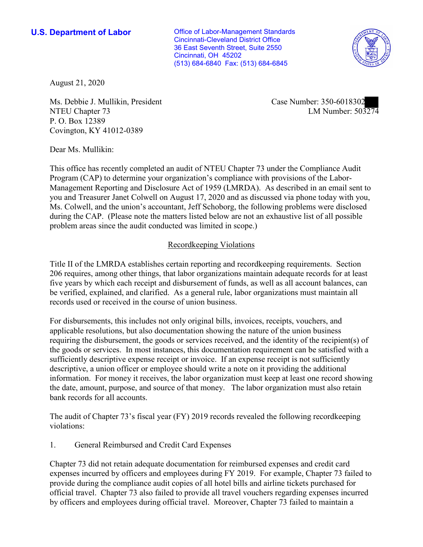**U.S. Department of Labor Conservative Conservative Conservative Conservative U.S.** Department of Labor Cincinnati-Cleveland District Office 36 East Seventh Street, Suite 2550 Cincinnati, OH 45202 (513) 684-6840 Fax: (513) 684-6845



August 21, 2020

■ NTEU Chapter 73 LM Number: 503274 Ms. Debbie J. Mullikin, President Case Number: 350-6018302 P. O. Box 12389 Covington, KY 41012-0389

Dear Ms. Mullikin:

 This office has recently completed an audit of NTEU Chapter 73 under the Compliance Audit you and Treasurer Janet Colwell on August 17, 2020 and as discussed via phone today with you, Program (CAP) to determine your organization's compliance with provisions of the Labor-Management Reporting and Disclosure Act of 1959 (LMRDA). As described in an email sent to Ms. Colwell, and the union's accountant, Jeff Schoborg, the following problems were disclosed during the CAP. (Please note the matters listed below are not an exhaustive list of all possible problem areas since the audit conducted was limited in scope.)

## Recordkeeping Violations

 Title II of the LMRDA establishes certain reporting and recordkeeping requirements. Section 206 requires, among other things, that labor organizations maintain adequate records for at least five years by which each receipt and disbursement of funds, as well as all account balances, can be verified, explained, and clarified. As a general rule, labor organizations must maintain all records used or received in the course of union business.

For disbursements, this includes not only original bills, invoices, receipts, vouchers, and applicable resolutions, but also documentation showing the nature of the union business requiring the disbursement, the goods or services received, and the identity of the recipient(s) of the goods or services. In most instances, this documentation requirement can be satisfied with a sufficiently descriptive expense receipt or invoice. If an expense receipt is not sufficiently descriptive, a union officer or employee should write a note on it providing the additional information. For money it receives, the labor organization must keep at least one record showing the date, amount, purpose, and source of that money. The labor organization must also retain bank records for all accounts.

The audit of Chapter 73's fiscal year (FY) 2019 records revealed the following recordkeeping violations:

1. General Reimbursed and Credit Card Expenses

Chapter 73 did not retain adequate documentation for reimbursed expenses and credit card expenses incurred by officers and employees during FY 2019. For example, Chapter 73 failed to provide during the compliance audit copies of all hotel bills and airline tickets purchased for official travel. Chapter 73 also failed to provide all travel vouchers regarding expenses incurred by officers and employees during official travel. Moreover, Chapter 73 failed to maintain a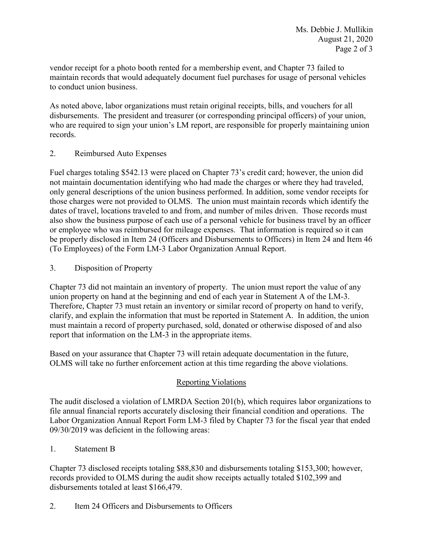maintain records that would adequately document fuel purchases for usage of personal vehicles vendor receipt for a photo booth rented for a membership event, and Chapter 73 failed to to conduct union business.

 who are required to sign your union's LM report, are responsible for properly maintaining union As noted above, labor organizations must retain original receipts, bills, and vouchers for all disbursements. The president and treasurer (or corresponding principal officers) of your union, records.

2. Reimbursed Auto Expenses

Fuel charges totaling \$542.13 were placed on Chapter 73's credit card; however, the union did not maintain documentation identifying who had made the charges or where they had traveled, only general descriptions of the union business performed. In addition, some vendor receipts for those charges were not provided to OLMS. The union must maintain records which identify the dates of travel, locations traveled to and from, and number of miles driven. Those records must also show the business purpose of each use of a personal vehicle for business travel by an officer or employee who was reimbursed for mileage expenses. That information is required so it can be properly disclosed in Item 24 (Officers and Disbursements to Officers) in Item 24 and Item 46 (To Employees) of the Form LM-3 Labor Organization Annual Report.

3. Disposition of Property

 Chapter 73 did not maintain an inventory of property. The union must report the value of any union property on hand at the beginning and end of each year in Statement A of the LM-3. Therefore, Chapter 73 must retain an inventory or similar record of property on hand to verify, clarify, and explain the information that must be reported in Statement A. In addition, the union must maintain a record of property purchased, sold, donated or otherwise disposed of and also report that information on the LM-3 in the appropriate items.

Based on your assurance that Chapter 73 will retain adequate documentation in the future, OLMS will take no further enforcement action at this time regarding the above violations.

## Reporting Violations

The audit disclosed a violation of LMRDA Section 201(b), which requires labor organizations to file annual financial reports accurately disclosing their financial condition and operations. The Labor Organization Annual Report Form LM-3 filed by Chapter 73 for the fiscal year that ended 09/30/2019 was deficient in the following areas:

1. Statement B

Chapter 73 disclosed receipts totaling \$88,830 and disbursements totaling \$153,300; however, records provided to OLMS during the audit show receipts actually totaled \$102,399 and disbursements totaled at least \$166,479.

2. Item 24 Officers and Disbursements to Officers